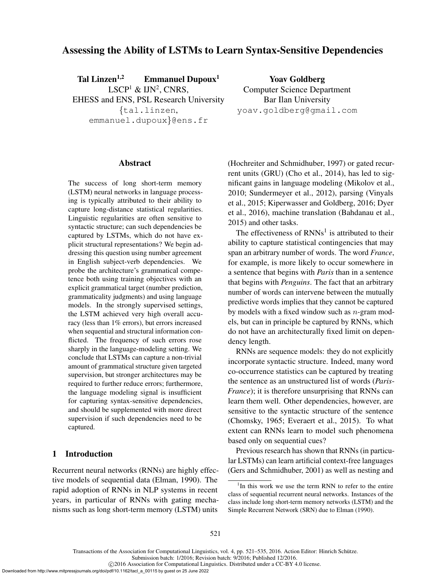# Assessing the Ability of LSTMs to Learn Syntax-Sensitive Dependencies

Tal Linzen<sup>1,2</sup> Emmanuel Dupoux<sup>1</sup>  $LSCP<sup>1</sup>$  & IJN<sup>2</sup>, CNRS, EHESS and ENS, PSL Research University {tal.linzen, emmanuel.dupoux}@ens.fr

Yoav Goldberg Computer Science Department Bar Ilan University yoav.goldberg@gmail.com

#### Abstract

The success of long short-term memory (LSTM) neural networks in language processing is typically attributed to their ability to capture long-distance statistical regularities. Linguistic regularities are often sensitive to syntactic structure; can such dependencies be captured by LSTMs, which do not have explicit structural representations? We begin addressing this question using number agreement in English subject-verb dependencies. We probe the architecture's grammatical competence both using training objectives with an explicit grammatical target (number prediction, grammaticality judgments) and using language models. In the strongly supervised settings, the LSTM achieved very high overall accuracy (less than 1% errors), but errors increased when sequential and structural information conflicted. The frequency of such errors rose sharply in the language-modeling setting. We conclude that LSTMs can capture a non-trivial amount of grammatical structure given targeted supervision, but stronger architectures may be required to further reduce errors; furthermore, the language modeling signal is insufficient for capturing syntax-sensitive dependencies, and should be supplemented with more direct supervision if such dependencies need to be captured.

## 1 Introduction

Recurrent neural networks (RNNs) are highly effective models of sequential data (Elman, 1990). The rapid adoption of RNNs in NLP systems in recent years, in particular of RNNs with gating mechanisms such as long short-term memory (LSTM) units (Hochreiter and Schmidhuber, 1997) or gated recurrent units (GRU) (Cho et al., 2014), has led to significant gains in language modeling (Mikolov et al., 2010; Sundermeyer et al., 2012), parsing (Vinyals et al., 2015; Kiperwasser and Goldberg, 2016; Dyer et al., 2016), machine translation (Bahdanau et al., 2015) and other tasks.

The effectiveness of  $RNNs<sup>1</sup>$  is attributed to their ability to capture statistical contingencies that may span an arbitrary number of words. The word *France*, for example, is more likely to occur somewhere in a sentence that begins with *Paris* than in a sentence that begins with *Penguins*. The fact that an arbitrary number of words can intervene between the mutually predictive words implies that they cannot be captured by models with a fixed window such as  $n$ -gram models, but can in principle be captured by RNNs, which do not have an architecturally fixed limit on dependency length.

RNNs are sequence models: they do not explicitly incorporate syntactic structure. Indeed, many word co-occurrence statistics can be captured by treating the sentence as an unstructured list of words (*Paris*-*France*); it is therefore unsurprising that RNNs can learn them well. Other dependencies, however, are sensitive to the syntactic structure of the sentence (Chomsky, 1965; Everaert et al., 2015). To what extent can RNNs learn to model such phenomena based only on sequential cues?

Previous research has shown that RNNs (in particular LSTMs) can learn artificial context-free languages (Gers and Schmidhuber, 2001) as well as nesting and

Submission batch: 1/2016; Revision batch: 9/2016; Published 12/2016.

Downloaded from http://www.mitpressjournals.org/doi/pdf/10.1162/tacl\_a\_00115 by guest on 25 June 2022

<sup>&</sup>lt;sup>1</sup>In this work we use the term RNN to refer to the entire class of sequential recurrent neural networks. Instances of the class include long short-term memory networks (LSTM) and the Simple Recurrent Network (SRN) due to Elman (1990).

c 2016 Association for Computational Linguistics. Distributed under a CC-BY 4.0 license.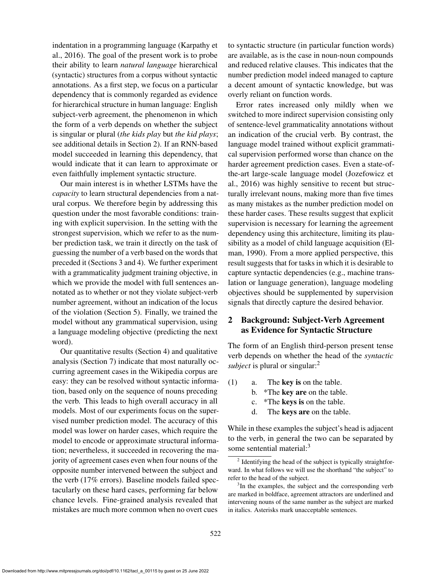indentation in a programming language (Karpathy et al., 2016). The goal of the present work is to probe their ability to learn *natural language* hierarchical (syntactic) structures from a corpus without syntactic annotations. As a first step, we focus on a particular dependency that is commonly regarded as evidence for hierarchical structure in human language: English subject-verb agreement, the phenomenon in which the form of a verb depends on whether the subject is singular or plural (*the kids play* but *the kid plays*; see additional details in Section 2). If an RNN-based model succeeded in learning this dependency, that would indicate that it can learn to approximate or even faithfully implement syntactic structure.

Our main interest is in whether LSTMs have the *capacity* to learn structural dependencies from a natural corpus. We therefore begin by addressing this question under the most favorable conditions: training with explicit supervision. In the setting with the strongest supervision, which we refer to as the number prediction task, we train it directly on the task of guessing the number of a verb based on the words that preceded it (Sections 3 and 4). We further experiment with a grammaticality judgment training objective, in which we provide the model with full sentences annotated as to whether or not they violate subject-verb number agreement, without an indication of the locus of the violation (Section 5). Finally, we trained the model without any grammatical supervision, using a language modeling objective (predicting the next word).

Our quantitative results (Section 4) and qualitative analysis (Section 7) indicate that most naturally occurring agreement cases in the Wikipedia corpus are easy: they can be resolved without syntactic information, based only on the sequence of nouns preceding the verb. This leads to high overall accuracy in all models. Most of our experiments focus on the supervised number prediction model. The accuracy of this model was lower on harder cases, which require the model to encode or approximate structural information; nevertheless, it succeeded in recovering the majority of agreement cases even when four nouns of the opposite number intervened between the subject and the verb (17% errors). Baseline models failed spectacularly on these hard cases, performing far below chance levels. Fine-grained analysis revealed that mistakes are much more common when no overt cues

to syntactic structure (in particular function words) are available, as is the case in noun-noun compounds and reduced relative clauses. This indicates that the number prediction model indeed managed to capture a decent amount of syntactic knowledge, but was overly reliant on function words.

Error rates increased only mildly when we switched to more indirect supervision consisting only of sentence-level grammaticality annotations without an indication of the crucial verb. By contrast, the language model trained without explicit grammatical supervision performed worse than chance on the harder agreement prediction cases. Even a state-ofthe-art large-scale language model (Jozefowicz et al., 2016) was highly sensitive to recent but structurally irrelevant nouns, making more than five times as many mistakes as the number prediction model on these harder cases. These results suggest that explicit supervision is necessary for learning the agreement dependency using this architecture, limiting its plausibility as a model of child language acquisition (Elman, 1990). From a more applied perspective, this result suggests that for tasks in which it is desirable to capture syntactic dependencies (e.g., machine translation or language generation), language modeling objectives should be supplemented by supervision signals that directly capture the desired behavior.

# 2 Background: Subject-Verb Agreement as Evidence for Syntactic Structure

The form of an English third-person present tense verb depends on whether the head of the *syntactic subject* is plural or singular:<sup>2</sup>

- (1) a. The key is on the table.
	- b. \*The key are on the table.
	- c. \*The keys is on the table.
	- d. The keys are on the table.

While in these examples the subject's head is adjacent to the verb, in general the two can be separated by some sentential material:<sup>3</sup>

<sup>&</sup>lt;sup>2</sup> Identifying the head of the subject is typically straightforward. In what follows we will use the shorthand "the subject" to refer to the head of the subject.

<sup>&</sup>lt;sup>3</sup>In the examples, the subject and the corresponding verb are marked in boldface, agreement attractors are underlined and intervening nouns of the same number as the subject are marked in italics. Asterisks mark unacceptable sentences.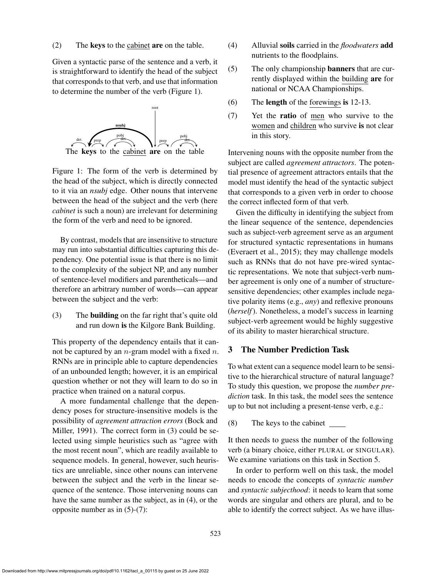#### (2) The keys to the cabinet are on the table.

Given a syntactic parse of the sentence and a verb, it is straightforward to identify the head of the subject that corresponds to that verb, and use that information to determine the number of the verb (Figure 1).



Figure 1: The form of the verb is determined by the head of the subject, which is directly connected to it via an *nsubj* edge. Other nouns that intervene between the head of the subject and the verb (here *cabinet* is such a noun) are irrelevant for determining the form of the verb and need to be ignored.

By contrast, models that are insensitive to structure may run into substantial difficulties capturing this dependency. One potential issue is that there is no limit to the complexity of the subject NP, and any number of sentence-level modifiers and parentheticals—and therefore an arbitrary number of words—can appear between the subject and the verb:

(3) The building on the far right that's quite old and run down is the Kilgore Bank Building.

This property of the dependency entails that it cannot be captured by an  $n$ -gram model with a fixed  $n$ . RNNs are in principle able to capture dependencies of an unbounded length; however, it is an empirical question whether or not they will learn to do so in practice when trained on a natural corpus.

A more fundamental challenge that the dependency poses for structure-insensitive models is the possibility of *agreement attraction errors* (Bock and Miller, 1991). The correct form in (3) could be selected using simple heuristics such as "agree with the most recent noun", which are readily available to sequence models. In general, however, such heuristics are unreliable, since other nouns can intervene between the subject and the verb in the linear sequence of the sentence. Those intervening nouns can have the same number as the subject, as in (4), or the opposite number as in (5)-(7):

- (4) Alluvial soils carried in the *floodwaters* add nutrients to the floodplains.
- (5) The only championship banners that are currently displayed within the building are for national or NCAA Championships.
- (6) The length of the forewings is 12-13.
- (7) Yet the ratio of men who survive to the women and children who survive is not clear in this story.

Intervening nouns with the opposite number from the subject are called *agreement attractors*. The potential presence of agreement attractors entails that the model must identify the head of the syntactic subject that corresponds to a given verb in order to choose the correct inflected form of that verb.

Given the difficulty in identifying the subject from the linear sequence of the sentence, dependencies such as subject-verb agreement serve as an argument for structured syntactic representations in humans (Everaert et al., 2015); they may challenge models such as RNNs that do not have pre-wired syntactic representations. We note that subject-verb number agreement is only one of a number of structuresensitive dependencies; other examples include negative polarity items (e.g., *any*) and reflexive pronouns (*herself*). Nonetheless, a model's success in learning subject-verb agreement would be highly suggestive of its ability to master hierarchical structure.

### 3 The Number Prediction Task

To what extent can a sequence model learn to be sensitive to the hierarchical structure of natural language? To study this question, we propose the *number prediction* task. In this task, the model sees the sentence up to but not including a present-tense verb, e.g.:

(8) The keys to the cabinet

It then needs to guess the number of the following verb (a binary choice, either PLURAL or SINGULAR). We examine variations on this task in Section 5.

In order to perform well on this task, the model needs to encode the concepts of *syntactic number* and *syntactic subjecthood*: it needs to learn that some words are singular and others are plural, and to be able to identify the correct subject. As we have illus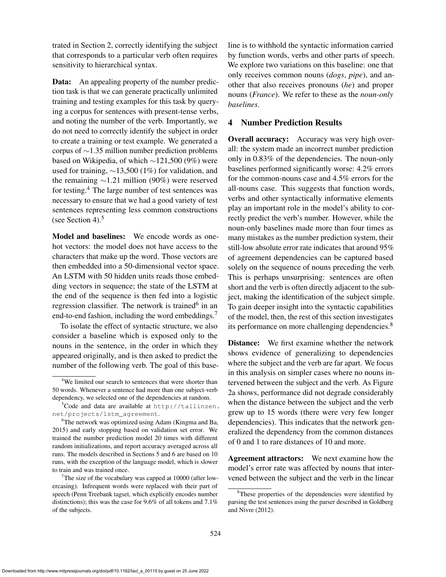trated in Section 2, correctly identifying the subject that corresponds to a particular verb often requires sensitivity to hierarchical syntax.

Data: An appealing property of the number prediction task is that we can generate practically unlimited training and testing examples for this task by querying a corpus for sentences with present-tense verbs, and noting the number of the verb. Importantly, we do not need to correctly identify the subject in order to create a training or test example. We generated a corpus of ∼1.35 million number prediction problems based on Wikipedia, of which ∼121,500 (9%) were used for training, ∼13,500 (1%) for validation, and the remaining ∼1.21 million (90%) were reserved for testing.<sup>4</sup> The large number of test sentences was necessary to ensure that we had a good variety of test sentences representing less common constructions (see Section 4). $5$ 

Model and baselines: We encode words as onehot vectors: the model does not have access to the characters that make up the word. Those vectors are then embedded into a 50-dimensional vector space. An LSTM with 50 hidden units reads those embedding vectors in sequence; the state of the LSTM at the end of the sequence is then fed into a logistic regression classifier. The network is trained<sup>6</sup> in an end-to-end fashion, including the word embeddings.<sup>7</sup>

To isolate the effect of syntactic structure, we also consider a baseline which is exposed only to the nouns in the sentence, in the order in which they appeared originally, and is then asked to predict the number of the following verb. The goal of this baseline is to withhold the syntactic information carried by function words, verbs and other parts of speech. We explore two variations on this baseline: one that only receives common nouns (*dogs*, *pipe*), and another that also receives pronouns (*he*) and proper nouns (*France*). We refer to these as the *noun-only baselines*.

### 4 Number Prediction Results

**Overall accuracy:** Accuracy was very high overall: the system made an incorrect number prediction only in 0.83% of the dependencies. The noun-only baselines performed significantly worse: 4.2% errors for the common-nouns case and 4.5% errors for the all-nouns case. This suggests that function words, verbs and other syntactically informative elements play an important role in the model's ability to correctly predict the verb's number. However, while the noun-only baselines made more than four times as many mistakes as the number prediction system, their still-low absolute error rate indicates that around 95% of agreement dependencies can be captured based solely on the sequence of nouns preceding the verb. This is perhaps unsurprising: sentences are often short and the verb is often directly adjacent to the subject, making the identification of the subject simple. To gain deeper insight into the syntactic capabilities of the model, then, the rest of this section investigates its performance on more challenging dependencies.<sup>8</sup>

Distance: We first examine whether the network shows evidence of generalizing to dependencies where the subject and the verb are far apart. We focus in this analysis on simpler cases where no nouns intervened between the subject and the verb. As Figure 2a shows, performance did not degrade considerably when the distance between the subject and the verb grew up to 15 words (there were very few longer dependencies). This indicates that the network generalized the dependency from the common distances of 0 and 1 to rare distances of 10 and more.

Agreement attractors: We next examine how the model's error rate was affected by nouns that intervened between the subject and the verb in the linear

<sup>&</sup>lt;sup>4</sup>We limited our search to sentences that were shorter than 50 words. Whenever a sentence had more than one subject-verb dependency, we selected one of the dependencies at random.

 $5C$ ode and data are available at http://tallinzen. net/projects/lstm\_agreement.

<sup>6</sup>The network was optimized using Adam (Kingma and Ba, 2015) and early stopping based on validation set error. We trained the number prediction model 20 times with different random initializations, and report accuracy averaged across all runs. The models described in Sections 5 and 6 are based on 10 runs, with the exception of the language model, which is slower to train and was trained once.

<sup>&</sup>lt;sup>7</sup>The size of the vocabulary was capped at  $10000$  (after lowercasing). Infrequent words were replaced with their part of speech (Penn Treebank tagset, which explicitly encodes number distinctions); this was the case for 9.6% of all tokens and 7.1% of the subjects.

<sup>&</sup>lt;sup>8</sup>These properties of the dependencies were identified by parsing the test sentences using the parser described in Goldberg and Nivre (2012).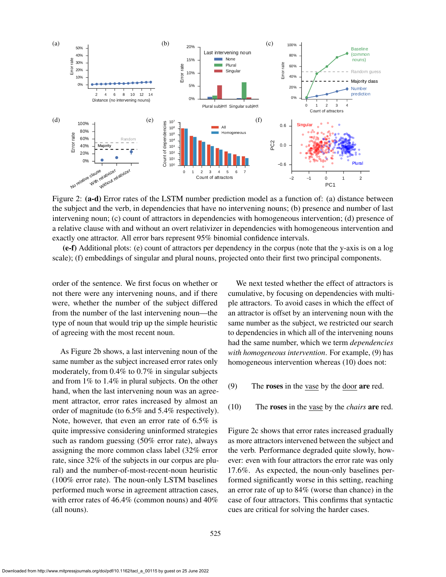

Figure 2: (a-d) Error rates of the LSTM number prediction model as a function of: (a) distance between the subject and the verb, in dependencies that have no intervening nouns; (b) presence and number of last intervening noun; (c) count of attractors in dependencies with homogeneous intervention; (d) presence of a relative clause with and without an overt relativizer in dependencies with homogeneous intervention and exactly one attractor. All error bars represent 95% binomial confidence intervals.

(e-f) Additional plots: (e) count of attractors per dependency in the corpus (note that the y-axis is on a log scale); (f) embeddings of singular and plural nouns, projected onto their first two principal components.

order of the sentence. We first focus on whether or not there were any intervening nouns, and if there were, whether the number of the subject differed from the number of the last intervening noun—the type of noun that would trip up the simple heuristic of agreeing with the most recent noun.

As Figure 2b shows, a last intervening noun of the same number as the subject increased error rates only moderately, from 0.4% to 0.7% in singular subjects and from 1% to 1.4% in plural subjects. On the other hand, when the last intervening noun was an agreement attractor, error rates increased by almost an order of magnitude (to 6.5% and 5.4% respectively). Note, however, that even an error rate of 6.5% is quite impressive considering uninformed strategies such as random guessing (50% error rate), always assigning the more common class label (32% error rate, since 32% of the subjects in our corpus are plural) and the number-of-most-recent-noun heuristic (100% error rate). The noun-only LSTM baselines performed much worse in agreement attraction cases, with error rates of 46.4% (common nouns) and 40% (all nouns).

We next tested whether the effect of attractors is cumulative, by focusing on dependencies with multiple attractors. To avoid cases in which the effect of an attractor is offset by an intervening noun with the same number as the subject, we restricted our search to dependencies in which all of the intervening nouns had the same number, which we term *dependencies with homogeneous intervention*. For example, (9) has homogeneous intervention whereas (10) does not:

- (9) The roses in the vase by the door are red.
- (10) The roses in the vase by the *chairs* are red.

Figure 2c shows that error rates increased gradually as more attractors intervened between the subject and the verb. Performance degraded quite slowly, however: even with four attractors the error rate was only 17.6%. As expected, the noun-only baselines performed significantly worse in this setting, reaching an error rate of up to 84% (worse than chance) in the case of four attractors. This confirms that syntactic cues are critical for solving the harder cases.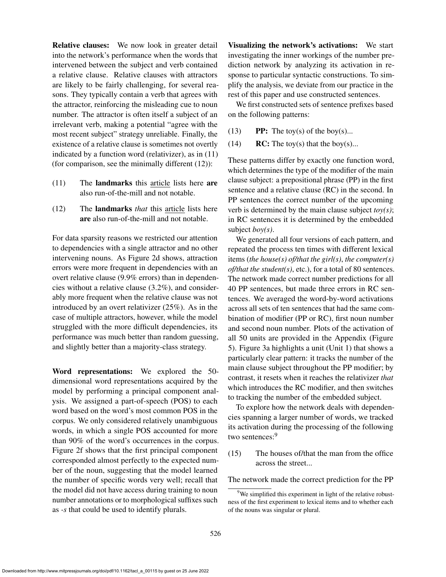indicated by a function word (relativizer), as in (11) (for comparison, see the minimally different (12)): (11) The landmarks this article lists here are also run-of-the-mill and not notable. (12) The landmarks *that* this article lists here are also run-of-the-mill and not notable. For data sparsity reasons we restricted our attention to dependencies with a single attractor and no other intervening nouns. As Figure 2d shows, attraction

errors were more frequent in dependencies with an overt relative clause (9.9% errors) than in dependencies without a relative clause (3.2%), and considerably more frequent when the relative clause was not introduced by an overt relativizer (25%). As in the case of multiple attractors, however, while the model struggled with the more difficult dependencies, its performance was much better than random guessing, and slightly better than a majority-class strategy.

Relative clauses: We now look in greater detail into the network's performance when the words that intervened between the subject and verb contained a relative clause. Relative clauses with attractors are likely to be fairly challenging, for several reasons. They typically contain a verb that agrees with the attractor, reinforcing the misleading cue to noun number. The attractor is often itself a subject of an irrelevant verb, making a potential "agree with the most recent subject" strategy unreliable. Finally, the existence of a relative clause is sometimes not overtly

Word representations: We explored the 50 dimensional word representations acquired by the model by performing a principal component analysis. We assigned a part-of-speech (POS) to each word based on the word's most common POS in the corpus. We only considered relatively unambiguous words, in which a single POS accounted for more than 90% of the word's occurrences in the corpus. Figure 2f shows that the first principal component corresponded almost perfectly to the expected number of the noun, suggesting that the model learned the number of specific words very well; recall that the model did not have access during training to noun number annotations or to morphological suffixes such as *-s* that could be used to identify plurals.

Visualizing the network's activations: We start investigating the inner workings of the number prediction network by analyzing its activation in response to particular syntactic constructions. To simplify the analysis, we deviate from our practice in the rest of this paper and use constructed sentences.

We first constructed sets of sentence prefixes based on the following patterns:

- (13) **PP:** The toy(s) of the boy(s)...
- (14) RC: The toy(s) that the boy(s)...

These patterns differ by exactly one function word, which determines the type of the modifier of the main clause subject: a prepositional phrase (PP) in the first sentence and a relative clause (RC) in the second. In PP sentences the correct number of the upcoming verb is determined by the main clause subject *toy(s)*; in RC sentences it is determined by the embedded subject *boy(s)*.

We generated all four versions of each pattern, and repeated the process ten times with different lexical items (*the house(s) of/that the girl(s)*, *the computer(s) of/that the student(s)*, etc.), for a total of 80 sentences. The network made correct number predictions for all 40 PP sentences, but made three errors in RC sentences. We averaged the word-by-word activations across all sets of ten sentences that had the same combination of modifier (PP or RC), first noun number and second noun number. Plots of the activation of all 50 units are provided in the Appendix (Figure 5). Figure 3a highlights a unit (Unit 1) that shows a particularly clear pattern: it tracks the number of the main clause subject throughout the PP modifier; by contrast, it resets when it reaches the relativizer *that* which introduces the RC modifier, and then switches to tracking the number of the embedded subject.

To explore how the network deals with dependencies spanning a larger number of words, we tracked its activation during the processing of the following two sentences:<sup>9</sup>

(15) The houses of/that the man from the office across the street...

The network made the correct prediction for the PP

 $9^9$ We simplified this experiment in light of the relative robustness of the first experiment to lexical items and to whether each of the nouns was singular or plural.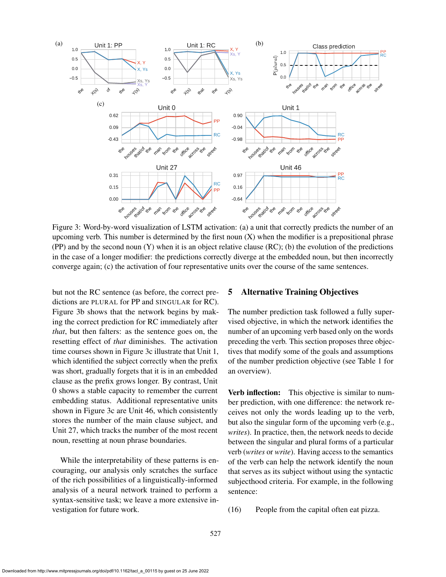

Figure 3: Word-by-word visualization of LSTM activation: (a) a unit that correctly predicts the number of an upcoming verb. This number is determined by the first noun  $(X)$  when the modifier is a prepositional phrase (PP) and by the second noun (Y) when it is an object relative clause (RC); (b) the evolution of the predictions in the case of a longer modifier: the predictions correctly diverge at the embedded noun, but then incorrectly converge again; (c) the activation of four representative units over the course of the same sentences.

but not the RC sentence (as before, the correct predictions are PLURAL for PP and SINGULAR for RC). Figure 3b shows that the network begins by making the correct prediction for RC immediately after *that*, but then falters: as the sentence goes on, the resetting effect of *that* diminishes. The activation time courses shown in Figure 3c illustrate that Unit 1, which identified the subject correctly when the prefix was short, gradually forgets that it is in an embedded clause as the prefix grows longer. By contrast, Unit 0 shows a stable capacity to remember the current embedding status. Additional representative units shown in Figure 3c are Unit 46, which consistently stores the number of the main clause subject, and Unit 27, which tracks the number of the most recent noun, resetting at noun phrase boundaries.

While the interpretability of these patterns is encouraging, our analysis only scratches the surface of the rich possibilities of a linguistically-informed analysis of a neural network trained to perform a syntax-sensitive task; we leave a more extensive investigation for future work.

## 5 Alternative Training Objectives

The number prediction task followed a fully supervised objective, in which the network identifies the number of an upcoming verb based only on the words preceding the verb. This section proposes three objectives that modify some of the goals and assumptions of the number prediction objective (see Table 1 for an overview).

Verb inflection: This objective is similar to number prediction, with one difference: the network receives not only the words leading up to the verb, but also the singular form of the upcoming verb (e.g., *writes*). In practice, then, the network needs to decide between the singular and plural forms of a particular verb (*writes* or *write*). Having access to the semantics of the verb can help the network identify the noun that serves as its subject without using the syntactic subjecthood criteria. For example, in the following sentence:

(16) People from the capital often eat pizza.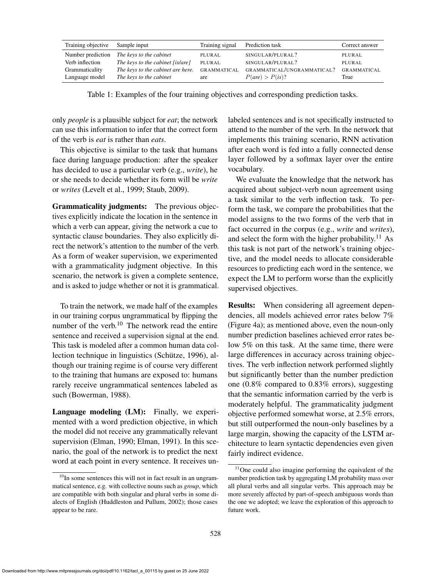| Training objective | Sample input                      | Training signal    | Prediction task            | Correct answer     |
|--------------------|-----------------------------------|--------------------|----------------------------|--------------------|
| Number prediction  | The keys to the cabinet           | PLURAL             | SINGULAR/PLURAL?           | PLURAL             |
| Verb inflection    | The keys to the cabinet [is/are]  | PLURAL             | SINGULAR/PLURAL?           | PLURAL             |
| Grammaticality     | The keys to the cabinet are here. | <b>GRAMMATICAL</b> | GRAMMATICAL/UNGRAMMATICAL? | <b>GRAMMATICAL</b> |
| Language model     | The keys to the cabinet           | are                | $P(are) > P(is)$ ?         | True               |

Table 1: Examples of the four training objectives and corresponding prediction tasks.

only *people* is a plausible subject for *eat*; the network can use this information to infer that the correct form of the verb is *eat* is rather than *eats*.

This objective is similar to the task that humans face during language production: after the speaker has decided to use a particular verb (e.g., *write*), he or she needs to decide whether its form will be *write* or *writes* (Levelt et al., 1999; Staub, 2009).

Grammaticality judgments: The previous objectives explicitly indicate the location in the sentence in which a verb can appear, giving the network a cue to syntactic clause boundaries. They also explicitly direct the network's attention to the number of the verb. As a form of weaker supervision, we experimented with a grammaticality judgment objective. In this scenario, the network is given a complete sentence, and is asked to judge whether or not it is grammatical.

To train the network, we made half of the examples in our training corpus ungrammatical by flipping the number of the verb. $10$  The network read the entire sentence and received a supervision signal at the end. This task is modeled after a common human data collection technique in linguistics (Schütze, 1996), although our training regime is of course very different to the training that humans are exposed to: humans rarely receive ungrammatical sentences labeled as such (Bowerman, 1988).

Language modeling (LM): Finally, we experimented with a word prediction objective, in which the model did not receive any grammatically relevant supervision (Elman, 1990; Elman, 1991). In this scenario, the goal of the network is to predict the next word at each point in every sentence. It receives unlabeled sentences and is not specifically instructed to attend to the number of the verb. In the network that implements this training scenario, RNN activation after each word is fed into a fully connected dense layer followed by a softmax layer over the entire vocabulary.

We evaluate the knowledge that the network has acquired about subject-verb noun agreement using a task similar to the verb inflection task. To perform the task, we compare the probabilities that the model assigns to the two forms of the verb that in fact occurred in the corpus (e.g., *write* and *writes*), and select the form with the higher probability.<sup>11</sup> As this task is not part of the network's training objective, and the model needs to allocate considerable resources to predicting each word in the sentence, we expect the LM to perform worse than the explicitly supervised objectives.

Results: When considering all agreement dependencies, all models achieved error rates below 7% (Figure 4a); as mentioned above, even the noun-only number prediction baselines achieved error rates below 5% on this task. At the same time, there were large differences in accuracy across training objectives. The verb inflection network performed slightly but significantly better than the number prediction one (0.8% compared to 0.83% errors), suggesting that the semantic information carried by the verb is moderately helpful. The grammaticality judgment objective performed somewhat worse, at 2.5% errors, but still outperformed the noun-only baselines by a large margin, showing the capacity of the LSTM architecture to learn syntactic dependencies even given fairly indirect evidence.

 $10$ In some sentences this will not in fact result in an ungrammatical sentence, e.g. with collective nouns such as *group*, which are compatible with both singular and plural verbs in some dialects of English (Huddleston and Pullum, 2002); those cases appear to be rare.

<sup>&</sup>lt;sup>11</sup>One could also imagine performing the equivalent of the number prediction task by aggregating LM probability mass over all plural verbs and all singular verbs. This approach may be more severely affected by part-of-speech ambiguous words than the one we adopted; we leave the exploration of this approach to future work.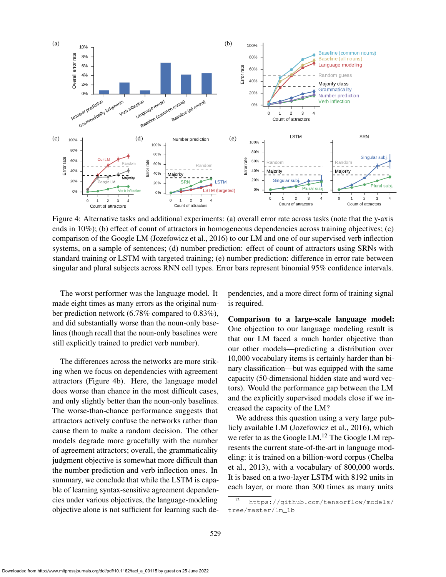

Figure 4: Alternative tasks and additional experiments: (a) overall error rate across tasks (note that the y-axis ends in 10%); (b) effect of count of attractors in homogeneous dependencies across training objectives; (c) comparison of the Google LM (Jozefowicz et al., 2016) to our LM and one of our supervised verb inflection systems, on a sample of sentences; (d) number prediction: effect of count of attractors using SRNs with standard training or LSTM with targeted training; (e) number prediction: difference in error rate between singular and plural subjects across RNN cell types. Error bars represent binomial 95% confidence intervals.

The worst performer was the language model. It made eight times as many errors as the original number prediction network (6.78% compared to 0.83%), and did substantially worse than the noun-only baselines (though recall that the noun-only baselines were still explicitly trained to predict verb number).

The differences across the networks are more striking when we focus on dependencies with agreement attractors (Figure 4b). Here, the language model does worse than chance in the most difficult cases, and only slightly better than the noun-only baselines. The worse-than-chance performance suggests that attractors actively confuse the networks rather than cause them to make a random decision. The other models degrade more gracefully with the number of agreement attractors; overall, the grammaticality judgment objective is somewhat more difficult than the number prediction and verb inflection ones. In summary, we conclude that while the LSTM is capable of learning syntax-sensitive agreement dependencies under various objectives, the language-modeling objective alone is not sufficient for learning such dependencies, and a more direct form of training signal is required.

Comparison to a large-scale language model: One objection to our language modeling result is that our LM faced a much harder objective than our other models—predicting a distribution over 10,000 vocabulary items is certainly harder than binary classification—but was equipped with the same capacity (50-dimensional hidden state and word vectors). Would the performance gap between the LM and the explicitly supervised models close if we increased the capacity of the LM?

We address this question using a very large publicly available LM (Jozefowicz et al., 2016), which we refer to as the Google LM.<sup>12</sup> The Google LM represents the current state-of-the-art in language modeling: it is trained on a billion-word corpus (Chelba et al., 2013), with a vocabulary of 800,000 words. It is based on a two-layer LSTM with 8192 units in each layer, or more than 300 times as many units

<sup>12</sup> https://github.com/tensorflow/models/ tree/master/lm\_1b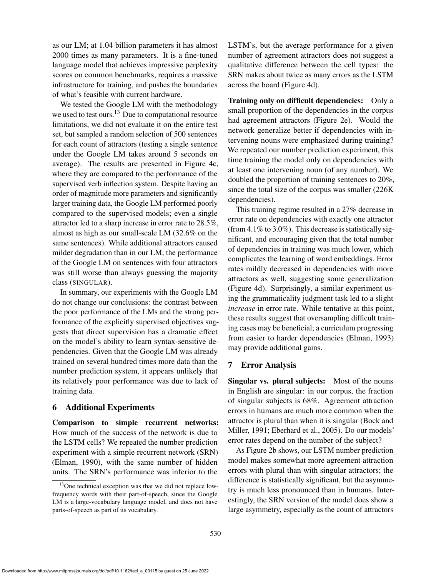as our LM; at 1.04 billion parameters it has almost 2000 times as many parameters. It is a fine-tuned language model that achieves impressive perplexity scores on common benchmarks, requires a massive infrastructure for training, and pushes the boundaries of what's feasible with current hardware.

We tested the Google LM with the methodology we used to test ours. $13$  Due to computational resource limitations, we did not evaluate it on the entire test set, but sampled a random selection of 500 sentences for each count of attractors (testing a single sentence under the Google LM takes around 5 seconds on average). The results are presented in Figure 4c, where they are compared to the performance of the supervised verb inflection system. Despite having an order of magnitude more parameters and significantly larger training data, the Google LM performed poorly compared to the supervised models; even a single attractor led to a sharp increase in error rate to 28.5%, almost as high as our small-scale LM (32.6% on the same sentences). While additional attractors caused milder degradation than in our LM, the performance of the Google LM on sentences with four attractors was still worse than always guessing the majority class (SINGULAR).

In summary, our experiments with the Google LM do not change our conclusions: the contrast between the poor performance of the LMs and the strong performance of the explicitly supervised objectives suggests that direct supervision has a dramatic effect on the model's ability to learn syntax-sensitive dependencies. Given that the Google LM was already trained on several hundred times more data than the number prediction system, it appears unlikely that its relatively poor performance was due to lack of training data.

### 6 Additional Experiments

Comparison to simple recurrent networks: How much of the success of the network is due to the LSTM cells? We repeated the number prediction experiment with a simple recurrent network (SRN) (Elman, 1990), with the same number of hidden units. The SRN's performance was inferior to the

LSTM's, but the average performance for a given number of agreement attractors does not suggest a qualitative difference between the cell types: the SRN makes about twice as many errors as the LSTM across the board (Figure 4d).

Training only on difficult dependencies: Only a small proportion of the dependencies in the corpus had agreement attractors (Figure 2e). Would the network generalize better if dependencies with intervening nouns were emphasized during training? We repeated our number prediction experiment, this time training the model only on dependencies with at least one intervening noun (of any number). We doubled the proportion of training sentences to 20%, since the total size of the corpus was smaller (226K dependencies).

This training regime resulted in a 27% decrease in error rate on dependencies with exactly one attractor (from  $4.1\%$  to  $3.0\%$ ). This decrease is statistically significant, and encouraging given that the total number of dependencies in training was much lower, which complicates the learning of word embeddings. Error rates mildly decreased in dependencies with more attractors as well, suggesting some generalization (Figure 4d). Surprisingly, a similar experiment using the grammaticality judgment task led to a slight *increase* in error rate. While tentative at this point, these results suggest that oversampling difficult training cases may be beneficial; a curriculum progressing from easier to harder dependencies (Elman, 1993) may provide additional gains.

## 7 Error Analysis

Singular vs. plural subjects: Most of the nouns in English are singular: in our corpus, the fraction of singular subjects is 68%. Agreement attraction errors in humans are much more common when the attractor is plural than when it is singular (Bock and Miller, 1991; Eberhard et al., 2005). Do our models' error rates depend on the number of the subject?

As Figure 2b shows, our LSTM number prediction model makes somewhat more agreement attraction errors with plural than with singular attractors; the difference is statistically significant, but the asymmetry is much less pronounced than in humans. Interestingly, the SRN version of the model does show a large asymmetry, especially as the count of attractors

<sup>&</sup>lt;sup>13</sup>One technical exception was that we did not replace lowfrequency words with their part-of-speech, since the Google LM is a large-vocabulary language model, and does not have parts-of-speech as part of its vocabulary.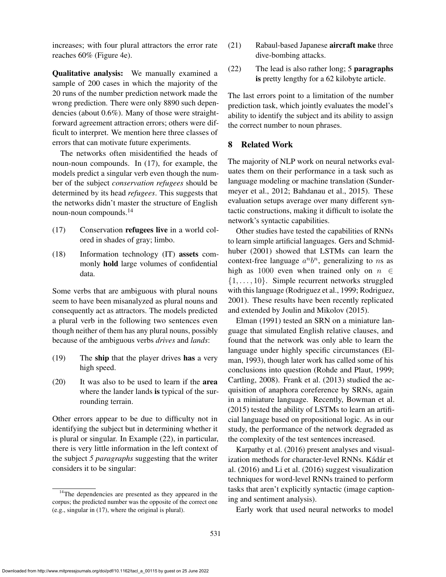increases; with four plural attractors the error rate reaches 60% (Figure 4e).

Qualitative analysis: We manually examined a sample of 200 cases in which the majority of the 20 runs of the number prediction network made the wrong prediction. There were only 8890 such dependencies (about 0.6%). Many of those were straightforward agreement attraction errors; others were difficult to interpret. We mention here three classes of errors that can motivate future experiments.

The networks often misidentified the heads of noun-noun compounds. In (17), for example, the models predict a singular verb even though the number of the subject *conservation refugees* should be determined by its head *refugees*. This suggests that the networks didn't master the structure of English noun-noun compounds.<sup>14</sup>

- (17) Conservation refugees live in a world colored in shades of gray; limbo.
- (18) Information technology (IT) assets commonly hold large volumes of confidential data.

Some verbs that are ambiguous with plural nouns seem to have been misanalyzed as plural nouns and consequently act as attractors. The models predicted a plural verb in the following two sentences even though neither of them has any plural nouns, possibly because of the ambiguous verbs *drives* and *lands*:

- (19) The ship that the player drives has a very high speed.
- (20) It was also to be used to learn if the area where the lander lands is typical of the surrounding terrain.

Other errors appear to be due to difficulty not in identifying the subject but in determining whether it is plural or singular. In Example (22), in particular, there is very little information in the left context of the subject *5 paragraphs* suggesting that the writer considers it to be singular:

- (21) Rabaul-based Japanese aircraft make three dive-bombing attacks.
- (22) The lead is also rather long; 5 paragraphs is pretty lengthy for a 62 kilobyte article.

The last errors point to a limitation of the number prediction task, which jointly evaluates the model's ability to identify the subject and its ability to assign the correct number to noun phrases.

## 8 Related Work

The majority of NLP work on neural networks evaluates them on their performance in a task such as language modeling or machine translation (Sundermeyer et al., 2012; Bahdanau et al., 2015). These evaluation setups average over many different syntactic constructions, making it difficult to isolate the network's syntactic capabilities.

Other studies have tested the capabilities of RNNs to learn simple artificial languages. Gers and Schmidhuber (2001) showed that LSTMs can learn the context-free language  $a^n b^n$ , generalizing to ns as high as 1000 even when trained only on  $n \in$  $\{1, \ldots, 10\}$ . Simple recurrent networks struggled with this language (Rodriguez et al., 1999; Rodriguez, 2001). These results have been recently replicated and extended by Joulin and Mikolov (2015).

Elman (1991) tested an SRN on a miniature language that simulated English relative clauses, and found that the network was only able to learn the language under highly specific circumstances (Elman, 1993), though later work has called some of his conclusions into question (Rohde and Plaut, 1999; Cartling, 2008). Frank et al. (2013) studied the acquisition of anaphora coreference by SRNs, again in a miniature language. Recently, Bowman et al. (2015) tested the ability of LSTMs to learn an artificial language based on propositional logic. As in our study, the performance of the network degraded as the complexity of the test sentences increased.

Karpathy et al. (2016) present analyses and visualization methods for character-level RNNs. Kádár et al. (2016) and Li et al. (2016) suggest visualization techniques for word-level RNNs trained to perform tasks that aren't explicitly syntactic (image captioning and sentiment analysis).

Early work that used neural networks to model

 $14$ The dependencies are presented as they appeared in the corpus; the predicted number was the opposite of the correct one (e.g., singular in (17), where the original is plural).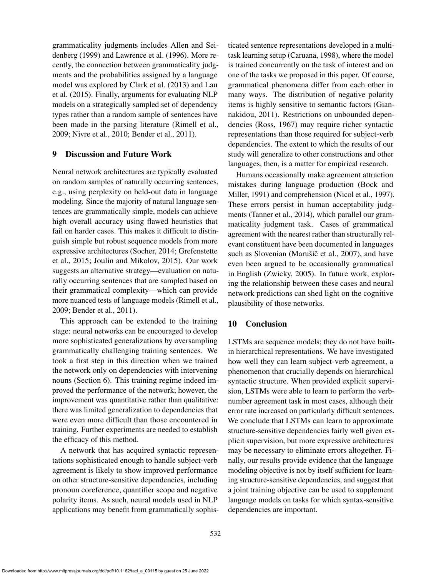grammaticality judgments includes Allen and Seidenberg (1999) and Lawrence et al. (1996). More recently, the connection between grammaticality judgments and the probabilities assigned by a language model was explored by Clark et al. (2013) and Lau et al. (2015). Finally, arguments for evaluating NLP models on a strategically sampled set of dependency types rather than a random sample of sentences have been made in the parsing literature (Rimell et al., 2009; Nivre et al., 2010; Bender et al., 2011).

## 9 Discussion and Future Work

Neural network architectures are typically evaluated on random samples of naturally occurring sentences, e.g., using perplexity on held-out data in language modeling. Since the majority of natural language sentences are grammatically simple, models can achieve high overall accuracy using flawed heuristics that fail on harder cases. This makes it difficult to distinguish simple but robust sequence models from more expressive architectures (Socher, 2014; Grefenstette et al., 2015; Joulin and Mikolov, 2015). Our work suggests an alternative strategy—evaluation on naturally occurring sentences that are sampled based on their grammatical complexity—which can provide more nuanced tests of language models (Rimell et al., 2009; Bender et al., 2011).

This approach can be extended to the training stage: neural networks can be encouraged to develop more sophisticated generalizations by oversampling grammatically challenging training sentences. We took a first step in this direction when we trained the network only on dependencies with intervening nouns (Section 6). This training regime indeed improved the performance of the network; however, the improvement was quantitative rather than qualitative: there was limited generalization to dependencies that were even more difficult than those encountered in training. Further experiments are needed to establish the efficacy of this method.

A network that has acquired syntactic representations sophisticated enough to handle subject-verb agreement is likely to show improved performance on other structure-sensitive dependencies, including pronoun coreference, quantifier scope and negative polarity items. As such, neural models used in NLP applications may benefit from grammatically sophisticated sentence representations developed in a multitask learning setup (Caruana, 1998), where the model is trained concurrently on the task of interest and on one of the tasks we proposed in this paper. Of course, grammatical phenomena differ from each other in many ways. The distribution of negative polarity items is highly sensitive to semantic factors (Giannakidou, 2011). Restrictions on unbounded dependencies (Ross, 1967) may require richer syntactic representations than those required for subject-verb dependencies. The extent to which the results of our study will generalize to other constructions and other languages, then, is a matter for empirical research.

Humans occasionally make agreement attraction mistakes during language production (Bock and Miller, 1991) and comprehension (Nicol et al., 1997). These errors persist in human acceptability judgments (Tanner et al., 2014), which parallel our grammaticality judgment task. Cases of grammatical agreement with the nearest rather than structurally relevant constituent have been documented in languages such as Slovenian (Marušič et al., 2007), and have even been argued to be occasionally grammatical in English (Zwicky, 2005). In future work, exploring the relationship between these cases and neural network predictions can shed light on the cognitive plausibility of those networks.

# 10 Conclusion

LSTMs are sequence models; they do not have builtin hierarchical representations. We have investigated how well they can learn subject-verb agreement, a phenomenon that crucially depends on hierarchical syntactic structure. When provided explicit supervision, LSTMs were able to learn to perform the verbnumber agreement task in most cases, although their error rate increased on particularly difficult sentences. We conclude that LSTMs can learn to approximate structure-sensitive dependencies fairly well given explicit supervision, but more expressive architectures may be necessary to eliminate errors altogether. Finally, our results provide evidence that the language modeling objective is not by itself sufficient for learning structure-sensitive dependencies, and suggest that a joint training objective can be used to supplement language models on tasks for which syntax-sensitive dependencies are important.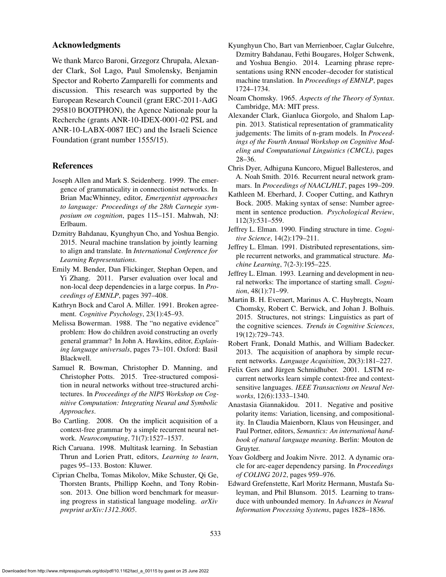### Acknowledgments

We thank Marco Baroni, Grzegorz Chrupała, Alexander Clark, Sol Lago, Paul Smolensky, Benjamin Spector and Roberto Zamparelli for comments and discussion. This research was supported by the European Research Council (grant ERC-2011-AdG 295810 BOOTPHON), the Agence Nationale pour la Recherche (grants ANR-10-IDEX-0001-02 PSL and ANR-10-LABX-0087 IEC) and the Israeli Science Foundation (grant number 1555/15).

#### References

- Joseph Allen and Mark S. Seidenberg. 1999. The emergence of grammaticality in connectionist networks. In Brian MacWhinney, editor, *Emergentist approaches to language: Proceedings of the 28th Carnegie symposium on cognition*, pages 115–151. Mahwah, NJ: Erlbaum.
- Dzmitry Bahdanau, Kyunghyun Cho, and Yoshua Bengio. 2015. Neural machine translation by jointly learning to align and translate. In *International Conference for Learning Representations*.
- Emily M. Bender, Dan Flickinger, Stephan Oepen, and Yi Zhang. 2011. Parser evaluation over local and non-local deep dependencies in a large corpus. In *Proceedings of EMNLP*, pages 397–408.
- Kathryn Bock and Carol A. Miller. 1991. Broken agreement. *Cognitive Psychology*, 23(1):45–93.
- Melissa Bowerman. 1988. The "no negative evidence" problem: How do children avoid constructing an overly general grammar? In John A. Hawkins, editor, *Explaining language universals*, pages 73–101. Oxford: Basil Blackwell.
- Samuel R. Bowman, Christopher D. Manning, and Christopher Potts. 2015. Tree-structured composition in neural networks without tree-structured architectures. In *Proceedings of the NIPS Workshop on Cognitive Computation: Integrating Neural and Symbolic Approaches*.
- Bo Cartling. 2008. On the implicit acquisition of a context-free grammar by a simple recurrent neural network. *Neurocomputing*, 71(7):1527–1537.
- Rich Caruana. 1998. Multitask learning. In Sebastian Thrun and Lorien Pratt, editors, *Learning to learn*, pages 95–133. Boston: Kluwer.
- Ciprian Chelba, Tomas Mikolov, Mike Schuster, Qi Ge, Thorsten Brants, Phillipp Koehn, and Tony Robinson. 2013. One billion word benchmark for measuring progress in statistical language modeling. *arXiv preprint arXiv:1312.3005*.
- Kyunghyun Cho, Bart van Merrienboer, Caglar Gulcehre, Dzmitry Bahdanau, Fethi Bougares, Holger Schwenk, and Yoshua Bengio. 2014. Learning phrase representations using RNN encoder–decoder for statistical machine translation. In *Proceedings of EMNLP*, pages 1724–1734.
- Noam Chomsky. 1965. *Aspects of the Theory of Syntax*. Cambridge, MA: MIT press.
- Alexander Clark, Gianluca Giorgolo, and Shalom Lappin. 2013. Statistical representation of grammaticality judgements: The limits of n-gram models. In *Proceedings of the Fourth Annual Workshop on Cognitive Modeling and Computational Linguistics (CMCL)*, pages 28–36.
- Chris Dyer, Adhiguna Kuncoro, Miguel Ballesteros, and A. Noah Smith. 2016. Recurrent neural network grammars. In *Proceedings of NAACL/HLT*, pages 199–209.
- Kathleen M. Eberhard, J. Cooper Cutting, and Kathryn Bock. 2005. Making syntax of sense: Number agreement in sentence production. *Psychological Review*, 112(3):531–559.
- Jeffrey L. Elman. 1990. Finding structure in time. *Cognitive Science*, 14(2):179–211.
- Jeffrey L. Elman. 1991. Distributed representations, simple recurrent networks, and grammatical structure. *Machine Learning*, 7(2-3):195–225.
- Jeffrey L. Elman. 1993. Learning and development in neural networks: The importance of starting small. *Cognition*, 48(1):71–99.
- Martin B. H. Everaert, Marinus A. C. Huybregts, Noam Chomsky, Robert C. Berwick, and Johan J. Bolhuis. 2015. Structures, not strings: Linguistics as part of the cognitive sciences. *Trends in Cognitive Sciences*, 19(12):729–743.
- Robert Frank, Donald Mathis, and William Badecker. 2013. The acquisition of anaphora by simple recurrent networks. *Language Acquisition*, 20(3):181–227.
- Felix Gers and Jürgen Schmidhuber. 2001. LSTM recurrent networks learn simple context-free and contextsensitive languages. *IEEE Transactions on Neural Networks*, 12(6):1333–1340.
- Anastasia Giannakidou. 2011. Negative and positive polarity items: Variation, licensing, and compositionality. In Claudia Maienborn, Klaus von Heusinger, and Paul Portner, editors, *Semantics: An international handbook of natural language meaning*. Berlin: Mouton de Gruyter.
- Yoav Goldberg and Joakim Nivre. 2012. A dynamic oracle for arc-eager dependency parsing. In *Proceedings of COLING 2012*, pages 959–976.
- Edward Grefenstette, Karl Moritz Hermann, Mustafa Suleyman, and Phil Blunsom. 2015. Learning to transduce with unbounded memory. In *Advances in Neural Information Processing Systems*, pages 1828–1836.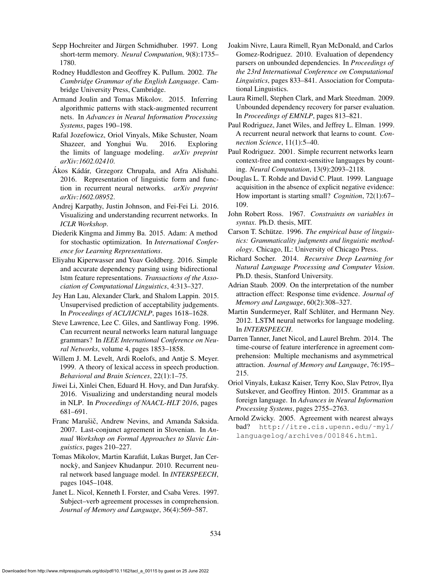- Sepp Hochreiter and Jürgen Schmidhuber. 1997. Long short-term memory. *Neural Computation*, 9(8):1735– 1780.
- Rodney Huddleston and Geoffrey K. Pullum. 2002. *The Cambridge Grammar of the English Language*. Cambridge University Press, Cambridge.
- Armand Joulin and Tomas Mikolov. 2015. Inferring algorithmic patterns with stack-augmented recurrent nets. In *Advances in Neural Information Processing Systems*, pages 190–198.
- Rafal Jozefowicz, Oriol Vinyals, Mike Schuster, Noam Shazeer, and Yonghui Wu. 2016. Exploring the limits of language modeling. *arXiv preprint arXiv:1602.02410*.
- Akos Kádár, Grzegorz Chrupała, and Afra Alishahi. 2016. Representation of linguistic form and function in recurrent neural networks. *arXiv preprint arXiv:1602.08952*.
- Andrej Karpathy, Justin Johnson, and Fei-Fei Li. 2016. Visualizing and understanding recurrent networks. In *ICLR Workshop*.
- Diederik Kingma and Jimmy Ba. 2015. Adam: A method for stochastic optimization. In *International Conference for Learning Representations*.
- Eliyahu Kiperwasser and Yoav Goldberg. 2016. Simple and accurate dependency parsing using bidirectional lstm feature representations. *Transactions of the Association of Computational Linguistics*, 4:313–327.
- Jey Han Lau, Alexander Clark, and Shalom Lappin. 2015. Unsupervised prediction of acceptability judgements. In *Proceedings of ACL/IJCNLP*, pages 1618–1628.
- Steve Lawrence, Lee C. Giles, and Santliway Fong. 1996. Can recurrent neural networks learn natural language grammars? In *IEEE International Conference on Neural Networks*, volume 4, pages 1853–1858.
- Willem J. M. Levelt, Ardi Roelofs, and Antje S. Meyer. 1999. A theory of lexical access in speech production. *Behavioral and Brain Sciences*, 22(1):1–75.
- Jiwei Li, Xinlei Chen, Eduard H. Hovy, and Dan Jurafsky. 2016. Visualizing and understanding neural models in NLP. In *Proceedings of NAACL-HLT 2016*, pages 681–691.
- Franc Marušič, Andrew Nevins, and Amanda Saksida. 2007. Last-conjunct agreement in Slovenian. In *Annual Workshop on Formal Approaches to Slavic Linguistics*, pages 210–227.
- Tomas Mikolov, Martin Karafiat, Lukas Burget, Jan Cer- ´ nockỳ, and Sanjeev Khudanpur. 2010. Recurrent neural network based language model. In *INTERSPEECH*, pages 1045–1048.
- Janet L. Nicol, Kenneth I. Forster, and Csaba Veres. 1997. Subject–verb agreement processes in comprehension. *Journal of Memory and Language*, 36(4):569–587.
- Joakim Nivre, Laura Rimell, Ryan McDonald, and Carlos Gomez-Rodriguez. 2010. Evaluation of dependency parsers on unbounded dependencies. In *Proceedings of the 23rd International Conference on Computational Linguistics*, pages 833–841. Association for Computational Linguistics.
- Laura Rimell, Stephen Clark, and Mark Steedman. 2009. Unbounded dependency recovery for parser evaluation. In *Proceedings of EMNLP*, pages 813–821.
- Paul Rodriguez, Janet Wiles, and Jeffrey L. Elman. 1999. A recurrent neural network that learns to count. *Connection Science*, 11(1):5–40.
- Paul Rodriguez. 2001. Simple recurrent networks learn context-free and context-sensitive languages by counting. *Neural Computation*, 13(9):2093–2118.
- Douglas L. T. Rohde and David C. Plaut. 1999. Language acquisition in the absence of explicit negative evidence: How important is starting small? *Cognition*, 72(1):67– 109.
- John Robert Ross. 1967. *Constraints on variables in syntax*. Ph.D. thesis, MIT.
- Carson T. Schütze. 1996. The empirical base of linguis*tics: Grammaticality judgments and linguistic methodology*. Chicago, IL: University of Chicago Press.
- Richard Socher. 2014. *Recursive Deep Learning for Natural Language Processing and Computer Vision*. Ph.D. thesis, Stanford University.
- Adrian Staub. 2009. On the interpretation of the number attraction effect: Response time evidence. *Journal of Memory and Language*, 60(2):308–327.
- Martin Sundermeyer, Ralf Schlüter, and Hermann Ney. 2012. LSTM neural networks for language modeling. In *INTERSPEECH*.
- Darren Tanner, Janet Nicol, and Laurel Brehm. 2014. The time-course of feature interference in agreement comprehension: Multiple mechanisms and asymmetrical attraction. *Journal of Memory and Language*, 76:195– 215.
- Oriol Vinyals, Łukasz Kaiser, Terry Koo, Slav Petrov, Ilya Sutskever, and Geoffrey Hinton. 2015. Grammar as a foreign language. In *Advances in Neural Information Processing Systems*, pages 2755–2763.
- Arnold Zwicky. 2005. Agreement with nearest always bad? http://itre.cis.upenn.edu/˜myl/ languagelog/archives/001846.html.